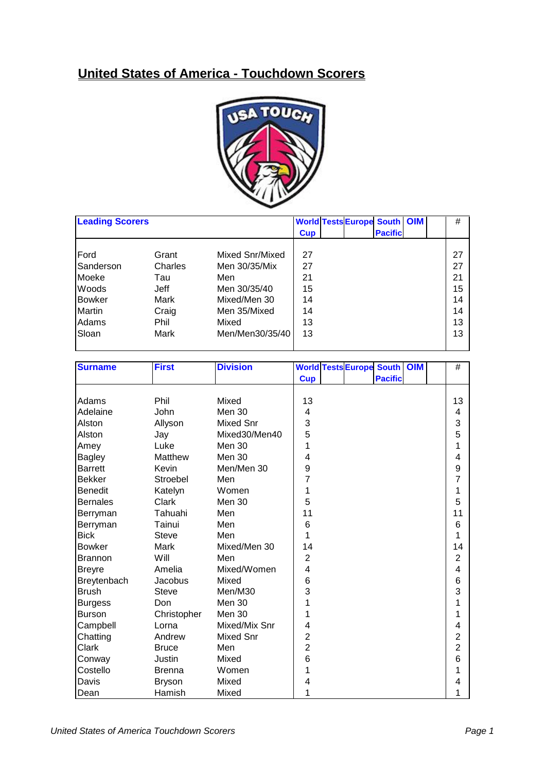## **United States of America - Touchdown Scorers**



| <b>Leading Scorers</b> |             |                 |            | <b>World Tests Europe South   OIM</b> |                |  | #  |
|------------------------|-------------|-----------------|------------|---------------------------------------|----------------|--|----|
|                        |             |                 | <b>Cup</b> |                                       | <b>Pacific</b> |  |    |
|                        |             |                 |            |                                       |                |  |    |
| Ford                   | Grant       | Mixed Snr/Mixed | 27         |                                       |                |  | 27 |
| Sanderson              | Charles     | Men 30/35/Mix   | 27         |                                       |                |  | 27 |
| Moeke                  | Tau         | Men             | 21         |                                       |                |  | 21 |
| Woods                  | Jeff        | Men 30/35/40    | 15         |                                       |                |  | 15 |
| <b>Bowker</b>          | Mark        | Mixed/Men 30    | 14         |                                       |                |  | 14 |
| Martin                 | Craig       | Men 35/Mixed    | 14         |                                       |                |  | 14 |
| Adams                  | <b>Phil</b> | Mixed           | 13         |                                       |                |  | 13 |
| Sloan                  | Mark        | Men/Men30/35/40 | 13         |                                       |                |  | 13 |
|                        |             |                 |            |                                       |                |  |    |

| <b>Surname</b>  | <b>First</b>  | <b>Division</b> |                 | <b>World Tests Europe South OIM</b> |                | $\#$           |
|-----------------|---------------|-----------------|-----------------|-------------------------------------|----------------|----------------|
|                 |               |                 | <b>Cup</b>      |                                     | <b>Pacific</b> |                |
|                 |               |                 |                 |                                     |                |                |
| Adams           | Phil          | Mixed           | 13              |                                     |                | 13             |
| Adelaine        | John          | <b>Men 30</b>   | 4               |                                     |                | 4              |
| Alston          | Allyson       | Mixed Snr       | 3               |                                     |                | 3              |
| Alston          | Jay           | Mixed30/Men40   | 5               |                                     |                | 5              |
| Amey            | Luke          | Men 30          | 1               |                                     |                | 1              |
| <b>Bagley</b>   | Matthew       | Men 30          | 4               |                                     |                | 4              |
| <b>Barrett</b>  | Kevin         | Men/Men 30      | 9               |                                     |                | 9              |
| <b>Bekker</b>   | Stroebel      | Men             | 7               |                                     |                | 7              |
| <b>Benedit</b>  | Katelyn       | Women           | 1               |                                     |                | 1              |
| <b>Bernales</b> | Clark         | <b>Men 30</b>   | 5               |                                     |                | 5              |
| Berryman        | Tahuahi       | Men             | 11              |                                     |                | 11             |
| Berryman        | Tainui        | Men             | $6\phantom{1}6$ |                                     |                | 6              |
| <b>Bick</b>     | <b>Steve</b>  | Men             | 1               |                                     |                | 1              |
| <b>Bowker</b>   | Mark          | Mixed/Men 30    | 14              |                                     |                | 14             |
| <b>Brannon</b>  | Will          | Men             | $\overline{2}$  |                                     |                | $\overline{2}$ |
| <b>Breyre</b>   | Amelia        | Mixed/Women     | $\overline{4}$  |                                     |                | 4              |
| Breytenbach     | Jacobus       | Mixed           | 6               |                                     |                | 6              |
| <b>Brush</b>    | <b>Steve</b>  | Men/M30         | 3               |                                     |                | 3              |
| <b>Burgess</b>  | Don           | Men 30          | 1               |                                     |                | 1              |
| <b>Burson</b>   | Christopher   | <b>Men 30</b>   | 1               |                                     |                | 1              |
| Campbell        | Lorna         | Mixed/Mix Snr   | 4               |                                     |                | 4              |
| Chatting        | Andrew        | Mixed Snr       | $\overline{2}$  |                                     |                | $\overline{2}$ |
| Clark           | <b>Bruce</b>  | Men             | $\overline{2}$  |                                     |                | $\overline{2}$ |
| Conway          | Justin        | Mixed           | $6\phantom{1}6$ |                                     |                | 6              |
| Costello        | <b>Brenna</b> | Women           | 1               |                                     |                | 1              |
| Davis           | <b>Bryson</b> | Mixed           | 4               |                                     |                | 4              |
| Dean            | Hamish        | Mixed           | 1               |                                     |                | 1              |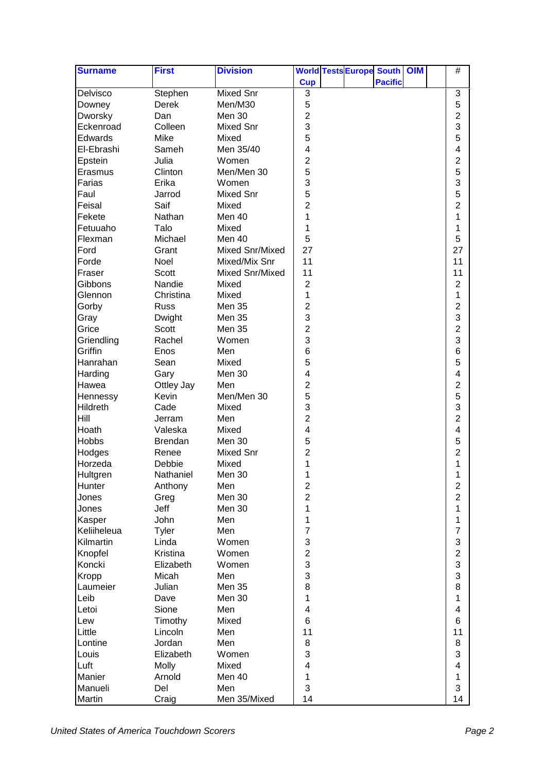| <b>Pacific</b><br><b>Cup</b><br><b>Mixed Snr</b><br>3<br>Delvisco<br>Stephen<br>3<br>5<br>5<br>Derek<br>Men/M30<br>Downey<br>$\overline{2}$<br>$\overline{2}$<br>Dworsky<br>Dan<br>Men 30<br>3<br>3<br>Eckenroad<br>Colleen<br>Mixed Snr<br>5<br>5<br>Edwards<br>Mike<br>Mixed<br>$\overline{\mathbf{4}}$<br>Men 35/40<br>4<br>El-Ebrashi<br>Sameh<br>$\overline{c}$<br>$\overline{2}$<br>Epstein<br>Julia<br>Women<br>5<br>5<br>Men/Men 30<br>Erasmus<br>Clinton<br>3<br>3<br>Farias<br>Erika<br>Women<br>5<br>5<br>Faul<br>Mixed Snr<br>Jarrod<br>$\overline{2}$<br>$\overline{2}$<br>Feisal<br>Saif<br>Mixed<br>Fekete<br>1<br>1<br>Nathan<br>Men 40<br>1<br>Fetuuaho<br>Talo<br>Mixed<br>1<br>5<br>5<br>Flexman<br><b>Men 40</b><br>Michael<br>Ford<br>27<br>Mixed Snr/Mixed<br>27<br>Grant<br>11<br>Forde<br>Mixed/Mix Snr<br>11<br>Noel<br>11<br>Fraser<br>Mixed Snr/Mixed<br>11<br><b>Scott</b><br>2<br>$\overline{2}$<br>Gibbons<br>Nandie<br>Mixed<br>1<br>1<br>Glennon<br>Christina<br>Mixed<br>$\overline{2}$<br>2<br>Gorby<br><b>Russ</b><br><b>Men 35</b><br>3<br>3<br>Gray<br>Dwight<br><b>Men 35</b><br>$\overline{2}$<br>$\overline{2}$<br>Grice<br>Scott<br><b>Men 35</b><br>3<br>3<br>Women<br>Griendling<br>Rachel<br>6<br>6<br>Griffin<br>Enos<br>Men<br>5<br>5<br>Hanrahan<br>Sean<br>Mixed<br>$\overline{\mathbf{4}}$<br>4<br>Harding<br>Gary<br><b>Men 30</b><br>$\overline{2}$<br>2<br>Hawea<br>Ottley Jay<br>Men<br>5<br>5<br>Men/Men 30<br>Hennessy<br>Kevin<br>3<br>3<br>Hildreth<br>Cade<br>Mixed<br>$\overline{2}$<br>$\overline{2}$<br>Hill<br>Jerram<br>Men<br>Hoath<br>4<br>Valeska<br>Mixed<br>4<br>5<br>5<br><b>Hobbs</b><br><b>Men 30</b><br><b>Brendan</b><br>$\overline{2}$<br>$\overline{2}$<br>Hodges<br>Mixed Snr<br>Renee<br>Horzeda<br>Debbie<br>1<br>1<br>Mixed<br>1<br>1<br>Hultgren<br>Men 30<br>Nathaniel<br>$\mathbf{2}$<br>Hunter<br>2<br>Men<br>Anthony<br>$\overline{2}$<br>$\overline{c}$<br>Jones<br>Greg<br>Men 30 | <b>Surname</b> | <b>First</b> | <b>Division</b> |   |  | <b>World Tests Europe South</b> | <b>OIM</b> | # |  |
|-------------------------------------------------------------------------------------------------------------------------------------------------------------------------------------------------------------------------------------------------------------------------------------------------------------------------------------------------------------------------------------------------------------------------------------------------------------------------------------------------------------------------------------------------------------------------------------------------------------------------------------------------------------------------------------------------------------------------------------------------------------------------------------------------------------------------------------------------------------------------------------------------------------------------------------------------------------------------------------------------------------------------------------------------------------------------------------------------------------------------------------------------------------------------------------------------------------------------------------------------------------------------------------------------------------------------------------------------------------------------------------------------------------------------------------------------------------------------------------------------------------------------------------------------------------------------------------------------------------------------------------------------------------------------------------------------------------------------------------------------------------------------------------------------------------------------------------------------------------------------------------------------------------------------------------------------------------------------|----------------|--------------|-----------------|---|--|---------------------------------|------------|---|--|
|                                                                                                                                                                                                                                                                                                                                                                                                                                                                                                                                                                                                                                                                                                                                                                                                                                                                                                                                                                                                                                                                                                                                                                                                                                                                                                                                                                                                                                                                                                                                                                                                                                                                                                                                                                                                                                                                                                                                                                         |                |              |                 |   |  |                                 |            |   |  |
|                                                                                                                                                                                                                                                                                                                                                                                                                                                                                                                                                                                                                                                                                                                                                                                                                                                                                                                                                                                                                                                                                                                                                                                                                                                                                                                                                                                                                                                                                                                                                                                                                                                                                                                                                                                                                                                                                                                                                                         |                |              |                 |   |  |                                 |            |   |  |
|                                                                                                                                                                                                                                                                                                                                                                                                                                                                                                                                                                                                                                                                                                                                                                                                                                                                                                                                                                                                                                                                                                                                                                                                                                                                                                                                                                                                                                                                                                                                                                                                                                                                                                                                                                                                                                                                                                                                                                         |                |              |                 |   |  |                                 |            |   |  |
|                                                                                                                                                                                                                                                                                                                                                                                                                                                                                                                                                                                                                                                                                                                                                                                                                                                                                                                                                                                                                                                                                                                                                                                                                                                                                                                                                                                                                                                                                                                                                                                                                                                                                                                                                                                                                                                                                                                                                                         |                |              |                 |   |  |                                 |            |   |  |
|                                                                                                                                                                                                                                                                                                                                                                                                                                                                                                                                                                                                                                                                                                                                                                                                                                                                                                                                                                                                                                                                                                                                                                                                                                                                                                                                                                                                                                                                                                                                                                                                                                                                                                                                                                                                                                                                                                                                                                         |                |              |                 |   |  |                                 |            |   |  |
|                                                                                                                                                                                                                                                                                                                                                                                                                                                                                                                                                                                                                                                                                                                                                                                                                                                                                                                                                                                                                                                                                                                                                                                                                                                                                                                                                                                                                                                                                                                                                                                                                                                                                                                                                                                                                                                                                                                                                                         |                |              |                 |   |  |                                 |            |   |  |
|                                                                                                                                                                                                                                                                                                                                                                                                                                                                                                                                                                                                                                                                                                                                                                                                                                                                                                                                                                                                                                                                                                                                                                                                                                                                                                                                                                                                                                                                                                                                                                                                                                                                                                                                                                                                                                                                                                                                                                         |                |              |                 |   |  |                                 |            |   |  |
|                                                                                                                                                                                                                                                                                                                                                                                                                                                                                                                                                                                                                                                                                                                                                                                                                                                                                                                                                                                                                                                                                                                                                                                                                                                                                                                                                                                                                                                                                                                                                                                                                                                                                                                                                                                                                                                                                                                                                                         |                |              |                 |   |  |                                 |            |   |  |
|                                                                                                                                                                                                                                                                                                                                                                                                                                                                                                                                                                                                                                                                                                                                                                                                                                                                                                                                                                                                                                                                                                                                                                                                                                                                                                                                                                                                                                                                                                                                                                                                                                                                                                                                                                                                                                                                                                                                                                         |                |              |                 |   |  |                                 |            |   |  |
|                                                                                                                                                                                                                                                                                                                                                                                                                                                                                                                                                                                                                                                                                                                                                                                                                                                                                                                                                                                                                                                                                                                                                                                                                                                                                                                                                                                                                                                                                                                                                                                                                                                                                                                                                                                                                                                                                                                                                                         |                |              |                 |   |  |                                 |            |   |  |
|                                                                                                                                                                                                                                                                                                                                                                                                                                                                                                                                                                                                                                                                                                                                                                                                                                                                                                                                                                                                                                                                                                                                                                                                                                                                                                                                                                                                                                                                                                                                                                                                                                                                                                                                                                                                                                                                                                                                                                         |                |              |                 |   |  |                                 |            |   |  |
|                                                                                                                                                                                                                                                                                                                                                                                                                                                                                                                                                                                                                                                                                                                                                                                                                                                                                                                                                                                                                                                                                                                                                                                                                                                                                                                                                                                                                                                                                                                                                                                                                                                                                                                                                                                                                                                                                                                                                                         |                |              |                 |   |  |                                 |            |   |  |
|                                                                                                                                                                                                                                                                                                                                                                                                                                                                                                                                                                                                                                                                                                                                                                                                                                                                                                                                                                                                                                                                                                                                                                                                                                                                                                                                                                                                                                                                                                                                                                                                                                                                                                                                                                                                                                                                                                                                                                         |                |              |                 |   |  |                                 |            |   |  |
|                                                                                                                                                                                                                                                                                                                                                                                                                                                                                                                                                                                                                                                                                                                                                                                                                                                                                                                                                                                                                                                                                                                                                                                                                                                                                                                                                                                                                                                                                                                                                                                                                                                                                                                                                                                                                                                                                                                                                                         |                |              |                 |   |  |                                 |            |   |  |
|                                                                                                                                                                                                                                                                                                                                                                                                                                                                                                                                                                                                                                                                                                                                                                                                                                                                                                                                                                                                                                                                                                                                                                                                                                                                                                                                                                                                                                                                                                                                                                                                                                                                                                                                                                                                                                                                                                                                                                         |                |              |                 |   |  |                                 |            |   |  |
|                                                                                                                                                                                                                                                                                                                                                                                                                                                                                                                                                                                                                                                                                                                                                                                                                                                                                                                                                                                                                                                                                                                                                                                                                                                                                                                                                                                                                                                                                                                                                                                                                                                                                                                                                                                                                                                                                                                                                                         |                |              |                 |   |  |                                 |            |   |  |
|                                                                                                                                                                                                                                                                                                                                                                                                                                                                                                                                                                                                                                                                                                                                                                                                                                                                                                                                                                                                                                                                                                                                                                                                                                                                                                                                                                                                                                                                                                                                                                                                                                                                                                                                                                                                                                                                                                                                                                         |                |              |                 |   |  |                                 |            |   |  |
|                                                                                                                                                                                                                                                                                                                                                                                                                                                                                                                                                                                                                                                                                                                                                                                                                                                                                                                                                                                                                                                                                                                                                                                                                                                                                                                                                                                                                                                                                                                                                                                                                                                                                                                                                                                                                                                                                                                                                                         |                |              |                 |   |  |                                 |            |   |  |
|                                                                                                                                                                                                                                                                                                                                                                                                                                                                                                                                                                                                                                                                                                                                                                                                                                                                                                                                                                                                                                                                                                                                                                                                                                                                                                                                                                                                                                                                                                                                                                                                                                                                                                                                                                                                                                                                                                                                                                         |                |              |                 |   |  |                                 |            |   |  |
|                                                                                                                                                                                                                                                                                                                                                                                                                                                                                                                                                                                                                                                                                                                                                                                                                                                                                                                                                                                                                                                                                                                                                                                                                                                                                                                                                                                                                                                                                                                                                                                                                                                                                                                                                                                                                                                                                                                                                                         |                |              |                 |   |  |                                 |            |   |  |
|                                                                                                                                                                                                                                                                                                                                                                                                                                                                                                                                                                                                                                                                                                                                                                                                                                                                                                                                                                                                                                                                                                                                                                                                                                                                                                                                                                                                                                                                                                                                                                                                                                                                                                                                                                                                                                                                                                                                                                         |                |              |                 |   |  |                                 |            |   |  |
|                                                                                                                                                                                                                                                                                                                                                                                                                                                                                                                                                                                                                                                                                                                                                                                                                                                                                                                                                                                                                                                                                                                                                                                                                                                                                                                                                                                                                                                                                                                                                                                                                                                                                                                                                                                                                                                                                                                                                                         |                |              |                 |   |  |                                 |            |   |  |
|                                                                                                                                                                                                                                                                                                                                                                                                                                                                                                                                                                                                                                                                                                                                                                                                                                                                                                                                                                                                                                                                                                                                                                                                                                                                                                                                                                                                                                                                                                                                                                                                                                                                                                                                                                                                                                                                                                                                                                         |                |              |                 |   |  |                                 |            |   |  |
|                                                                                                                                                                                                                                                                                                                                                                                                                                                                                                                                                                                                                                                                                                                                                                                                                                                                                                                                                                                                                                                                                                                                                                                                                                                                                                                                                                                                                                                                                                                                                                                                                                                                                                                                                                                                                                                                                                                                                                         |                |              |                 |   |  |                                 |            |   |  |
|                                                                                                                                                                                                                                                                                                                                                                                                                                                                                                                                                                                                                                                                                                                                                                                                                                                                                                                                                                                                                                                                                                                                                                                                                                                                                                                                                                                                                                                                                                                                                                                                                                                                                                                                                                                                                                                                                                                                                                         |                |              |                 |   |  |                                 |            |   |  |
|                                                                                                                                                                                                                                                                                                                                                                                                                                                                                                                                                                                                                                                                                                                                                                                                                                                                                                                                                                                                                                                                                                                                                                                                                                                                                                                                                                                                                                                                                                                                                                                                                                                                                                                                                                                                                                                                                                                                                                         |                |              |                 |   |  |                                 |            |   |  |
|                                                                                                                                                                                                                                                                                                                                                                                                                                                                                                                                                                                                                                                                                                                                                                                                                                                                                                                                                                                                                                                                                                                                                                                                                                                                                                                                                                                                                                                                                                                                                                                                                                                                                                                                                                                                                                                                                                                                                                         |                |              |                 |   |  |                                 |            |   |  |
|                                                                                                                                                                                                                                                                                                                                                                                                                                                                                                                                                                                                                                                                                                                                                                                                                                                                                                                                                                                                                                                                                                                                                                                                                                                                                                                                                                                                                                                                                                                                                                                                                                                                                                                                                                                                                                                                                                                                                                         |                |              |                 |   |  |                                 |            |   |  |
|                                                                                                                                                                                                                                                                                                                                                                                                                                                                                                                                                                                                                                                                                                                                                                                                                                                                                                                                                                                                                                                                                                                                                                                                                                                                                                                                                                                                                                                                                                                                                                                                                                                                                                                                                                                                                                                                                                                                                                         |                |              |                 |   |  |                                 |            |   |  |
|                                                                                                                                                                                                                                                                                                                                                                                                                                                                                                                                                                                                                                                                                                                                                                                                                                                                                                                                                                                                                                                                                                                                                                                                                                                                                                                                                                                                                                                                                                                                                                                                                                                                                                                                                                                                                                                                                                                                                                         |                |              |                 |   |  |                                 |            |   |  |
|                                                                                                                                                                                                                                                                                                                                                                                                                                                                                                                                                                                                                                                                                                                                                                                                                                                                                                                                                                                                                                                                                                                                                                                                                                                                                                                                                                                                                                                                                                                                                                                                                                                                                                                                                                                                                                                                                                                                                                         |                |              |                 |   |  |                                 |            |   |  |
|                                                                                                                                                                                                                                                                                                                                                                                                                                                                                                                                                                                                                                                                                                                                                                                                                                                                                                                                                                                                                                                                                                                                                                                                                                                                                                                                                                                                                                                                                                                                                                                                                                                                                                                                                                                                                                                                                                                                                                         |                |              |                 |   |  |                                 |            |   |  |
|                                                                                                                                                                                                                                                                                                                                                                                                                                                                                                                                                                                                                                                                                                                                                                                                                                                                                                                                                                                                                                                                                                                                                                                                                                                                                                                                                                                                                                                                                                                                                                                                                                                                                                                                                                                                                                                                                                                                                                         |                |              |                 |   |  |                                 |            |   |  |
|                                                                                                                                                                                                                                                                                                                                                                                                                                                                                                                                                                                                                                                                                                                                                                                                                                                                                                                                                                                                                                                                                                                                                                                                                                                                                                                                                                                                                                                                                                                                                                                                                                                                                                                                                                                                                                                                                                                                                                         |                |              |                 |   |  |                                 |            |   |  |
|                                                                                                                                                                                                                                                                                                                                                                                                                                                                                                                                                                                                                                                                                                                                                                                                                                                                                                                                                                                                                                                                                                                                                                                                                                                                                                                                                                                                                                                                                                                                                                                                                                                                                                                                                                                                                                                                                                                                                                         |                |              |                 |   |  |                                 |            |   |  |
|                                                                                                                                                                                                                                                                                                                                                                                                                                                                                                                                                                                                                                                                                                                                                                                                                                                                                                                                                                                                                                                                                                                                                                                                                                                                                                                                                                                                                                                                                                                                                                                                                                                                                                                                                                                                                                                                                                                                                                         |                |              |                 |   |  |                                 |            |   |  |
|                                                                                                                                                                                                                                                                                                                                                                                                                                                                                                                                                                                                                                                                                                                                                                                                                                                                                                                                                                                                                                                                                                                                                                                                                                                                                                                                                                                                                                                                                                                                                                                                                                                                                                                                                                                                                                                                                                                                                                         |                |              |                 |   |  |                                 |            |   |  |
|                                                                                                                                                                                                                                                                                                                                                                                                                                                                                                                                                                                                                                                                                                                                                                                                                                                                                                                                                                                                                                                                                                                                                                                                                                                                                                                                                                                                                                                                                                                                                                                                                                                                                                                                                                                                                                                                                                                                                                         |                |              |                 |   |  |                                 |            |   |  |
|                                                                                                                                                                                                                                                                                                                                                                                                                                                                                                                                                                                                                                                                                                                                                                                                                                                                                                                                                                                                                                                                                                                                                                                                                                                                                                                                                                                                                                                                                                                                                                                                                                                                                                                                                                                                                                                                                                                                                                         | Jones          | Jeff         | <b>Men 30</b>   | 1 |  |                                 |            | 1 |  |
| Kasper<br>John<br>1<br>Men<br>1                                                                                                                                                                                                                                                                                                                                                                                                                                                                                                                                                                                                                                                                                                                                                                                                                                                                                                                                                                                                                                                                                                                                                                                                                                                                                                                                                                                                                                                                                                                                                                                                                                                                                                                                                                                                                                                                                                                                         |                |              |                 |   |  |                                 |            |   |  |
| $\overline{7}$<br>7<br>Men<br>Keliiheleua<br><b>Tyler</b>                                                                                                                                                                                                                                                                                                                                                                                                                                                                                                                                                                                                                                                                                                                                                                                                                                                                                                                                                                                                                                                                                                                                                                                                                                                                                                                                                                                                                                                                                                                                                                                                                                                                                                                                                                                                                                                                                                               |                |              |                 |   |  |                                 |            |   |  |
| 3<br>3<br>Kilmartin<br>Women<br>Linda                                                                                                                                                                                                                                                                                                                                                                                                                                                                                                                                                                                                                                                                                                                                                                                                                                                                                                                                                                                                                                                                                                                                                                                                                                                                                                                                                                                                                                                                                                                                                                                                                                                                                                                                                                                                                                                                                                                                   |                |              |                 |   |  |                                 |            |   |  |
| $\overline{2}$<br>$\overline{c}$<br>Knopfel<br>Kristina<br>Women                                                                                                                                                                                                                                                                                                                                                                                                                                                                                                                                                                                                                                                                                                                                                                                                                                                                                                                                                                                                                                                                                                                                                                                                                                                                                                                                                                                                                                                                                                                                                                                                                                                                                                                                                                                                                                                                                                        |                |              |                 |   |  |                                 |            |   |  |
| 3<br>3<br>Koncki<br>Elizabeth<br>Women                                                                                                                                                                                                                                                                                                                                                                                                                                                                                                                                                                                                                                                                                                                                                                                                                                                                                                                                                                                                                                                                                                                                                                                                                                                                                                                                                                                                                                                                                                                                                                                                                                                                                                                                                                                                                                                                                                                                  |                |              |                 |   |  |                                 |            |   |  |
| 3<br>3<br>Kropp<br>Men<br>Micah                                                                                                                                                                                                                                                                                                                                                                                                                                                                                                                                                                                                                                                                                                                                                                                                                                                                                                                                                                                                                                                                                                                                                                                                                                                                                                                                                                                                                                                                                                                                                                                                                                                                                                                                                                                                                                                                                                                                         |                |              |                 |   |  |                                 |            |   |  |
| 8<br>8<br>Laumeier<br>Julian<br>Men 35                                                                                                                                                                                                                                                                                                                                                                                                                                                                                                                                                                                                                                                                                                                                                                                                                                                                                                                                                                                                                                                                                                                                                                                                                                                                                                                                                                                                                                                                                                                                                                                                                                                                                                                                                                                                                                                                                                                                  |                |              |                 |   |  |                                 |            |   |  |
| 1<br>Leib<br>Men 30<br>1<br>Dave                                                                                                                                                                                                                                                                                                                                                                                                                                                                                                                                                                                                                                                                                                                                                                                                                                                                                                                                                                                                                                                                                                                                                                                                                                                                                                                                                                                                                                                                                                                                                                                                                                                                                                                                                                                                                                                                                                                                        |                |              |                 |   |  |                                 |            |   |  |
| $\overline{\mathbf{4}}$<br>Sione<br>Men<br>4<br>Letoi                                                                                                                                                                                                                                                                                                                                                                                                                                                                                                                                                                                                                                                                                                                                                                                                                                                                                                                                                                                                                                                                                                                                                                                                                                                                                                                                                                                                                                                                                                                                                                                                                                                                                                                                                                                                                                                                                                                   |                |              |                 |   |  |                                 |            |   |  |
| $\,6$<br>Mixed<br>6<br>Lew<br>Timothy                                                                                                                                                                                                                                                                                                                                                                                                                                                                                                                                                                                                                                                                                                                                                                                                                                                                                                                                                                                                                                                                                                                                                                                                                                                                                                                                                                                                                                                                                                                                                                                                                                                                                                                                                                                                                                                                                                                                   |                |              |                 |   |  |                                 |            |   |  |
| 11<br>Little<br>Lincoln<br>11<br>Men                                                                                                                                                                                                                                                                                                                                                                                                                                                                                                                                                                                                                                                                                                                                                                                                                                                                                                                                                                                                                                                                                                                                                                                                                                                                                                                                                                                                                                                                                                                                                                                                                                                                                                                                                                                                                                                                                                                                    |                |              |                 |   |  |                                 |            |   |  |
| 8<br>8<br>Lontine<br>Jordan<br>Men                                                                                                                                                                                                                                                                                                                                                                                                                                                                                                                                                                                                                                                                                                                                                                                                                                                                                                                                                                                                                                                                                                                                                                                                                                                                                                                                                                                                                                                                                                                                                                                                                                                                                                                                                                                                                                                                                                                                      |                |              |                 |   |  |                                 |            |   |  |
| 3<br>3<br>Elizabeth<br>Women<br>Louis                                                                                                                                                                                                                                                                                                                                                                                                                                                                                                                                                                                                                                                                                                                                                                                                                                                                                                                                                                                                                                                                                                                                                                                                                                                                                                                                                                                                                                                                                                                                                                                                                                                                                                                                                                                                                                                                                                                                   |                |              |                 |   |  |                                 |            |   |  |
| Mixed<br>4<br>4<br>Luft<br>Molly                                                                                                                                                                                                                                                                                                                                                                                                                                                                                                                                                                                                                                                                                                                                                                                                                                                                                                                                                                                                                                                                                                                                                                                                                                                                                                                                                                                                                                                                                                                                                                                                                                                                                                                                                                                                                                                                                                                                        |                |              |                 |   |  |                                 |            |   |  |
| Manier<br>Men 40<br>1<br>Arnold<br>1                                                                                                                                                                                                                                                                                                                                                                                                                                                                                                                                                                                                                                                                                                                                                                                                                                                                                                                                                                                                                                                                                                                                                                                                                                                                                                                                                                                                                                                                                                                                                                                                                                                                                                                                                                                                                                                                                                                                    |                |              |                 |   |  |                                 |            |   |  |
| 3<br>3<br>Manueli<br>Del<br>Men                                                                                                                                                                                                                                                                                                                                                                                                                                                                                                                                                                                                                                                                                                                                                                                                                                                                                                                                                                                                                                                                                                                                                                                                                                                                                                                                                                                                                                                                                                                                                                                                                                                                                                                                                                                                                                                                                                                                         |                |              |                 |   |  |                                 |            |   |  |
| 14<br>14<br>Craig<br>Men 35/Mixed<br>Martin                                                                                                                                                                                                                                                                                                                                                                                                                                                                                                                                                                                                                                                                                                                                                                                                                                                                                                                                                                                                                                                                                                                                                                                                                                                                                                                                                                                                                                                                                                                                                                                                                                                                                                                                                                                                                                                                                                                             |                |              |                 |   |  |                                 |            |   |  |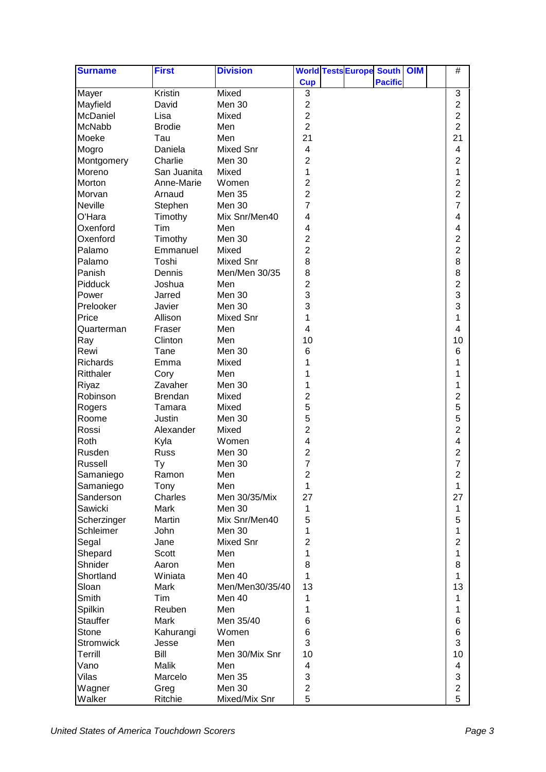| <b>Surname</b>   | <b>First</b>   | <b>Division</b>  |                         |  | <b>World Tests Europe South OIM</b> |  | $\#$           |  |
|------------------|----------------|------------------|-------------------------|--|-------------------------------------|--|----------------|--|
|                  |                |                  | <b>Cup</b>              |  | <b>Pacific</b>                      |  |                |  |
| Mayer            | Kristin        | Mixed            | 3                       |  |                                     |  | 3              |  |
| Mayfield         | David          | <b>Men 30</b>    | $\overline{2}$          |  |                                     |  | $\overline{2}$ |  |
| McDaniel         | Lisa           | Mixed            | $\overline{2}$          |  |                                     |  | $\overline{2}$ |  |
| McNabb           | <b>Brodie</b>  | Men              | $\overline{2}$          |  |                                     |  | $\overline{2}$ |  |
| Moeke            | Tau            | Men              | 21                      |  |                                     |  | 21             |  |
| Mogro            | Daniela        | <b>Mixed Snr</b> | 4                       |  |                                     |  | 4              |  |
| Montgomery       | Charlie        | <b>Men 30</b>    | $\overline{2}$          |  |                                     |  | $\overline{2}$ |  |
| Moreno           | San Juanita    | Mixed            | 1                       |  |                                     |  | 1              |  |
| Morton           | Anne-Marie     | Women            | $\overline{c}$          |  |                                     |  | $\overline{2}$ |  |
| Morvan           | Arnaud         | Men 35           | $\overline{c}$          |  |                                     |  | $\overline{2}$ |  |
| <b>Neville</b>   | Stephen        | Men 30           | $\overline{7}$          |  |                                     |  | 7              |  |
| O'Hara           | Timothy        | Mix Snr/Men40    | 4                       |  |                                     |  | 4              |  |
| Oxenford         | Tim            | Men              | 4                       |  |                                     |  | 4              |  |
| Oxenford         | Timothy        | Men 30           | $\overline{2}$          |  |                                     |  | $\overline{2}$ |  |
| Palamo           | Emmanuel       | Mixed            | $\overline{2}$          |  |                                     |  | $\overline{c}$ |  |
| Palamo           | Toshi          | Mixed Snr        | 8                       |  |                                     |  | 8              |  |
| Panish           | Dennis         | Men/Men 30/35    | 8                       |  |                                     |  | 8              |  |
| Pidduck          | Joshua         | Men              | $\overline{2}$          |  |                                     |  | $\overline{2}$ |  |
| Power            | Jarred         | Men 30           | 3                       |  |                                     |  | 3              |  |
| Prelooker        | Javier         | Men 30           | 3                       |  |                                     |  | 3              |  |
| Price            | Allison        | Mixed Snr        | 1                       |  |                                     |  | 1              |  |
| Quarterman       | Fraser         | Men              | $\overline{\mathbf{4}}$ |  |                                     |  | $\overline{4}$ |  |
| Ray              | Clinton        | Men              | 10                      |  |                                     |  | 10             |  |
| Rewi             | Tane           | <b>Men 30</b>    | 6                       |  |                                     |  | 6              |  |
| <b>Richards</b>  | Emma           | Mixed            | 1                       |  |                                     |  | 1              |  |
| Ritthaler        | Cory           | Men              | 1                       |  |                                     |  | 1              |  |
| Riyaz            | Zavaher        | Men 30           | 1                       |  |                                     |  | 1              |  |
| Robinson         | <b>Brendan</b> | Mixed            | $\overline{c}$          |  |                                     |  | $\overline{2}$ |  |
| Rogers           | Tamara         | Mixed            | 5                       |  |                                     |  | 5              |  |
| Roome            | Justin         | Men 30           | 5                       |  |                                     |  | 5              |  |
| Rossi            | Alexander      | Mixed            | $\overline{2}$          |  |                                     |  | $\overline{2}$ |  |
| Roth             | Kyla           | Women            | $\overline{\mathbf{4}}$ |  |                                     |  | 4              |  |
| Rusden           | <b>Russ</b>    | Men 30           | $\overline{2}$          |  |                                     |  | $\overline{c}$ |  |
| Russell          | Тy             | Men 30           | $\overline{7}$          |  |                                     |  | 7              |  |
| Samaniego        | Ramon          | Men              | $\overline{c}$          |  |                                     |  | $\overline{c}$ |  |
| Samaniego        | Tony           | Men              | 1                       |  |                                     |  | 1              |  |
| Sanderson        | Charles        | Men 30/35/Mix    | 27                      |  |                                     |  | 27             |  |
| Sawicki          | Mark           | Men 30           | 1                       |  |                                     |  | 1              |  |
| Scherzinger      | Martin         | Mix Snr/Men40    | 5                       |  |                                     |  | 5              |  |
| Schleimer        | John           | <b>Men 30</b>    | 1                       |  |                                     |  | 1              |  |
| Segal            | Jane           | Mixed Snr        | $\overline{2}$          |  |                                     |  | $\overline{c}$ |  |
| Shepard          | Scott          | Men              | 1                       |  |                                     |  | 1              |  |
| Shnider          | Aaron          | Men              | 8                       |  |                                     |  | 8              |  |
| Shortland        | Winiata        | Men 40           | 1                       |  |                                     |  | 1              |  |
| Sloan            | Mark           | Men/Men30/35/40  | 13                      |  |                                     |  | 13             |  |
| Smith            | Tim            | Men 40           | 1                       |  |                                     |  | 1              |  |
| Spilkin          | Reuben         | Men              | 1                       |  |                                     |  | 1              |  |
| <b>Stauffer</b>  | Mark           | Men 35/40        | 6                       |  |                                     |  | 6              |  |
| Stone            | Kahurangi      | Women            | 6                       |  |                                     |  | 6              |  |
| <b>Stromwick</b> | Jesse          | Men              | 3                       |  |                                     |  | 3              |  |
| Terrill          | Bill           | Men 30/Mix Snr   | 10                      |  |                                     |  | 10             |  |
| Vano             | Malik          | Men              | 4                       |  |                                     |  | 4              |  |
| Vilas            | Marcelo        | <b>Men 35</b>    | 3                       |  |                                     |  | 3              |  |
| Wagner           | Greg           | <b>Men 30</b>    | $\overline{c}$          |  |                                     |  | $\overline{c}$ |  |
| Walker           | Ritchie        | Mixed/Mix Snr    | 5                       |  |                                     |  | 5              |  |
|                  |                |                  |                         |  |                                     |  |                |  |